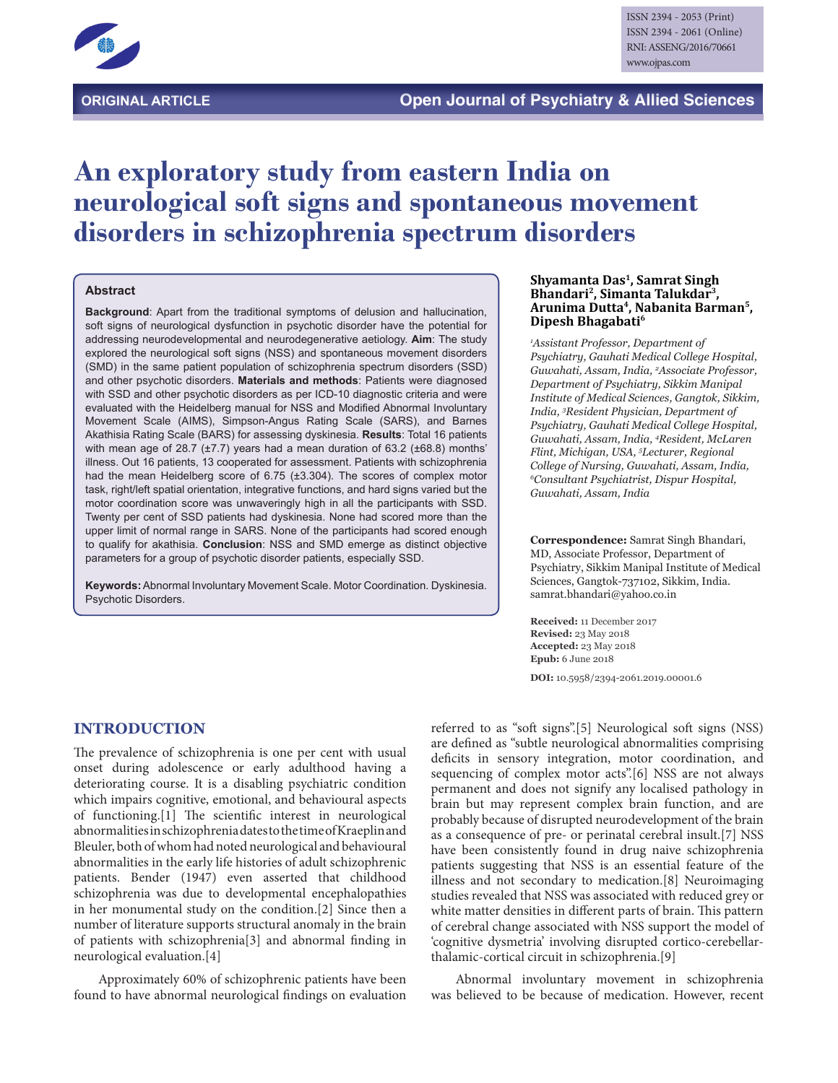

# **An exploratory study from eastern India on neurological soft signs and spontaneous movement disorders in schizophrenia spectrum disorders**

#### **Abstract**

**Background**: Apart from the traditional symptoms of delusion and hallucination, soft signs of neurological dysfunction in psychotic disorder have the potential for addressing neurodevelopmental and neurodegenerative aetiology. **Aim**: The study explored the neurological soft signs (NSS) and spontaneous movement disorders (SMD) in the same patient population of schizophrenia spectrum disorders (SSD) and other psychotic disorders. **Materials and methods**: Patients were diagnosed with SSD and other psychotic disorders as per ICD-10 diagnostic criteria and were evaluated with the Heidelberg manual for NSS and Modified Abnormal Involuntary Movement Scale (AIMS), Simpson-Angus Rating Scale (SARS), and Barnes Akathisia Rating Scale (BARS) for assessing dyskinesia. **Results**: Total 16 patients with mean age of 28.7 (±7.7) years had a mean duration of 63.2 (±68.8) months' illness. Out 16 patients, 13 cooperated for assessment. Patients with schizophrenia had the mean Heidelberg score of 6.75 (±3.304). The scores of complex motor task, right/left spatial orientation, integrative functions, and hard signs varied but the motor coordination score was unwaveringly high in all the participants with SSD. Twenty per cent of SSD patients had dyskinesia. None had scored more than the upper limit of normal range in SARS. None of the participants had scored enough to qualify for akathisia. **Conclusion**: NSS and SMD emerge as distinct objective parameters for a group of psychotic disorder patients, especially SSD.

**Keywords:** Abnormal Involuntary Movement Scale. Motor Coordination. Dyskinesia. Psychotic Disorders.

#### **Shyamanta Das1, Samrat Singh Bhandari2, Simanta Talukdar3, Arunima Dutta4, Nabanita Barman5, Dipesh Bhagabati6**

*1 Assistant Professor, Department of Psychiatry, Gauhati Medical College Hospital, Guwahati, Assam, India, 2 Associate Professor, Department of Psychiatry, Sikkim Manipal Institute of Medical Sciences, Gangtok, Sikkim, India, 3 Resident Physician, Department of Psychiatry, Gauhati Medical College Hospital, Guwahati, Assam, India, 4 Resident, McLaren Flint, Michigan, USA, 5 Lecturer, Regional College of Nursing, Guwahati, Assam, India, 6 Consultant Psychiatrist, Dispur Hospital, Guwahati, Assam, India*

**Correspondence:** Samrat Singh Bhandari, MD, Associate Professor, Department of Psychiatry, Sikkim Manipal Institute of Medical Sciences, Gangtok-737102, Sikkim, India. samrat.bhandari@yahoo.co.in

**Received:** 11 December 2017 **Revised:** 23 May 2018 **Accepted:** 23 May 2018 **Epub:** 6 June 2018

**DOI:** 10.5958/2394-2061.2019.00001.6

#### **INTRODUCTION**

The prevalence of schizophrenia is one per cent with usual onset during adolescence or early adulthood having a deteriorating course. It is a disabling psychiatric condition which impairs cognitive, emotional, and behavioural aspects of functioning.[1] The scientific interest in neurological abnormalities in schizophrenia dates to the time of Kraeplin and Bleuler, both of whom had noted neurological and behavioural abnormalities in the early life histories of adult schizophrenic patients. Bender (1947) even asserted that childhood schizophrenia was due to developmental encephalopathies in her monumental study on the condition.[2] Since then a number of literature supports structural anomaly in the brain of patients with schizophrenia[3] and abnormal finding in neurological evaluation.[4]

Approximately 60% of schizophrenic patients have been found to have abnormal neurological findings on evaluation referred to as "soft signs".[5] Neurological soft signs (NSS) are defined as "subtle neurological abnormalities comprising deficits in sensory integration, motor coordination, and sequencing of complex motor acts".[6] NSS are not always permanent and does not signify any localised pathology in brain but may represent complex brain function, and are probably because of disrupted neurodevelopment of the brain as a consequence of pre- or perinatal cerebral insult.[7] NSS have been consistently found in drug naive schizophrenia patients suggesting that NSS is an essential feature of the illness and not secondary to medication.[8] Neuroimaging studies revealed that NSS was associated with reduced grey or white matter densities in different parts of brain. This pattern of cerebral change associated with NSS support the model of 'cognitive dysmetria' involving disrupted cortico-cerebellarthalamic-cortical circuit in schizophrenia.[9]

Abnormal involuntary movement in schizophrenia was believed to be because of medication. However, recent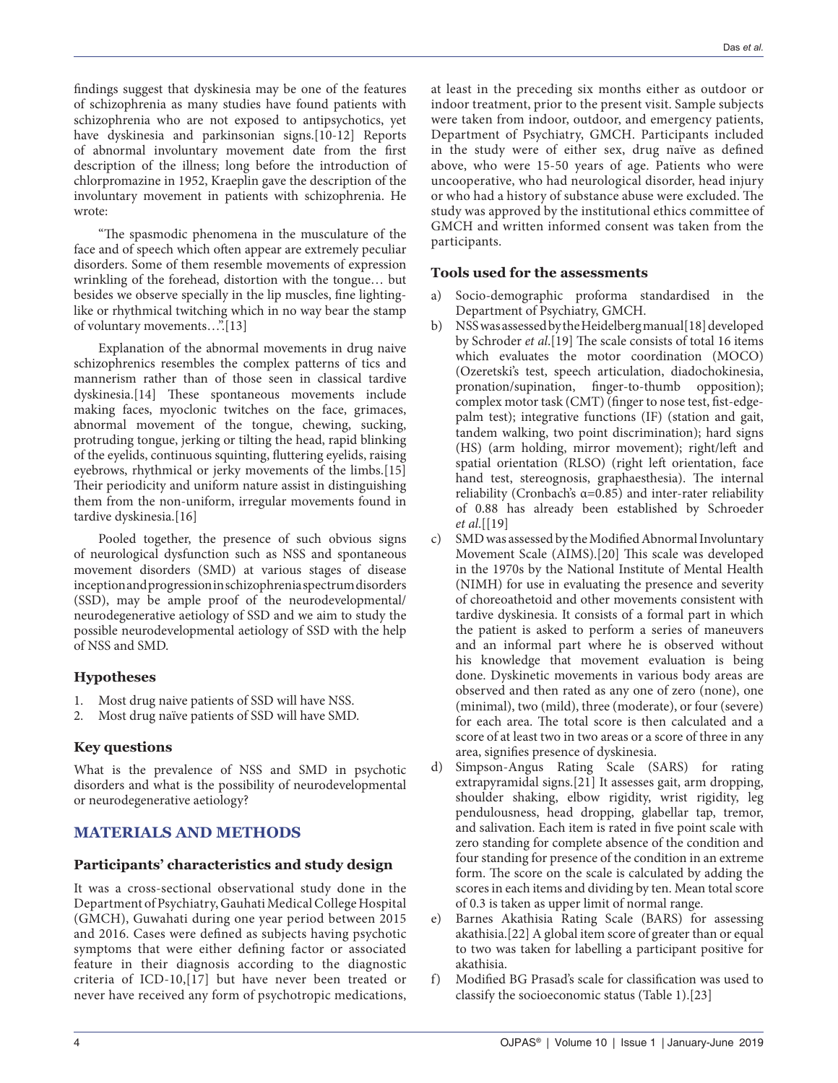findings suggest that dyskinesia may be one of the features of schizophrenia as many studies have found patients with schizophrenia who are not exposed to antipsychotics, yet have dyskinesia and parkinsonian signs.[10-12] Reports of abnormal involuntary movement date from the first description of the illness; long before the introduction of chlorpromazine in 1952, Kraeplin gave the description of the involuntary movement in patients with schizophrenia. He wrote:

"The spasmodic phenomena in the musculature of the face and of speech which often appear are extremely peculiar disorders. Some of them resemble movements of expression wrinkling of the forehead, distortion with the tongue… but besides we observe specially in the lip muscles, fine lightinglike or rhythmical twitching which in no way bear the stamp of voluntary movements..."[13]

Explanation of the abnormal movements in drug naive schizophrenics resembles the complex patterns of tics and mannerism rather than of those seen in classical tardive dyskinesia.[14] These spontaneous movements include making faces, myoclonic twitches on the face, grimaces, abnormal movement of the tongue, chewing, sucking, protruding tongue, jerking or tilting the head, rapid blinking of the eyelids, continuous squinting, fluttering eyelids, raising eyebrows, rhythmical or jerky movements of the limbs.[15] Their periodicity and uniform nature assist in distinguishing them from the non-uniform, irregular movements found in tardive dyskinesia.[16]

Pooled together, the presence of such obvious signs of neurological dysfunction such as NSS and spontaneous movement disorders (SMD) at various stages of disease inception and progression in schizophrenia spectrum disorders (SSD), may be ample proof of the neurodevelopmental/ neurodegenerative aetiology of SSD and we aim to study the possible neurodevelopmental aetiology of SSD with the help of NSS and SMD.

# **Hypotheses**

- 1. Most drug naive patients of SSD will have NSS.
- 2. Most drug naïve patients of SSD will have SMD.

# **Key questions**

What is the prevalence of NSS and SMD in psychotic disorders and what is the possibility of neurodevelopmental or neurodegenerative aetiology?

# **MATERIALS AND METHODS**

# **Participants' characteristics and study design**

It was a cross-sectional observational study done in the Department of Psychiatry, Gauhati Medical College Hospital (GMCH), Guwahati during one year period between 2015 and 2016. Cases were defined as subjects having psychotic symptoms that were either defining factor or associated feature in their diagnosis according to the diagnostic criteria of ICD-10,[17] but have never been treated or never have received any form of psychotropic medications, at least in the preceding six months either as outdoor or indoor treatment, prior to the present visit. Sample subjects were taken from indoor, outdoor, and emergency patients, Department of Psychiatry, GMCH. Participants included in the study were of either sex, drug naïve as defined above, who were 15-50 years of age. Patients who were uncooperative, who had neurological disorder, head injury or who had a history of substance abuse were excluded. The study was approved by the institutional ethics committee of GMCH and written informed consent was taken from the participants.

# **Tools used for the assessments**

- a) Socio-demographic proforma standardised in the Department of Psychiatry, GMCH.
- b) NSS was assessed by the Heidelberg manual[18] developed by Schroder *et al*.[19] The scale consists of total 16 items which evaluates the motor coordination (MOCO) (Ozeretski's test, speech articulation, diadochokinesia, pronation/supination, finger-to-thumb opposition); complex motor task (CMT) (finger to nose test, fist-edgepalm test); integrative functions (IF) (station and gait, tandem walking, two point discrimination); hard signs (HS) (arm holding, mirror movement); right/left and spatial orientation (RLSO) (right left orientation, face hand test, stereognosis, graphaesthesia). The internal reliability (Cronbach's α=0.85) and inter-rater reliability of 0.88 has already been established by Schroeder *et al*.[[19]
- c) SMD was assessed by the Modified Abnormal Involuntary Movement Scale (AIMS).[20] This scale was developed in the 1970s by the National Institute of Mental Health (NIMH) for use in evaluating the presence and severity of choreoathetoid and other movements consistent with tardive dyskinesia. It consists of a formal part in which the patient is asked to perform a series of maneuvers and an informal part where he is observed without his knowledge that movement evaluation is being done. Dyskinetic movements in various body areas are observed and then rated as any one of zero (none), one (minimal), two (mild), three (moderate), or four (severe) for each area. The total score is then calculated and a score of at least two in two areas or a score of three in any area, signifies presence of dyskinesia.
- d) Simpson-Angus Rating Scale (SARS) for rating extrapyramidal signs.[21] It assesses gait, arm dropping, shoulder shaking, elbow rigidity, wrist rigidity, leg pendulousness, head dropping, glabellar tap, tremor, and salivation. Each item is rated in five point scale with zero standing for complete absence of the condition and four standing for presence of the condition in an extreme form. The score on the scale is calculated by adding the scores in each items and dividing by ten. Mean total score of 0.3 is taken as upper limit of normal range.
- Barnes Akathisia Rating Scale (BARS) for assessing akathisia.[22] A global item score of greater than or equal to two was taken for labelling a participant positive for akathisia.
- f) Modified BG Prasad's scale for classification was used to classify the socioeconomic status (Table 1).[23]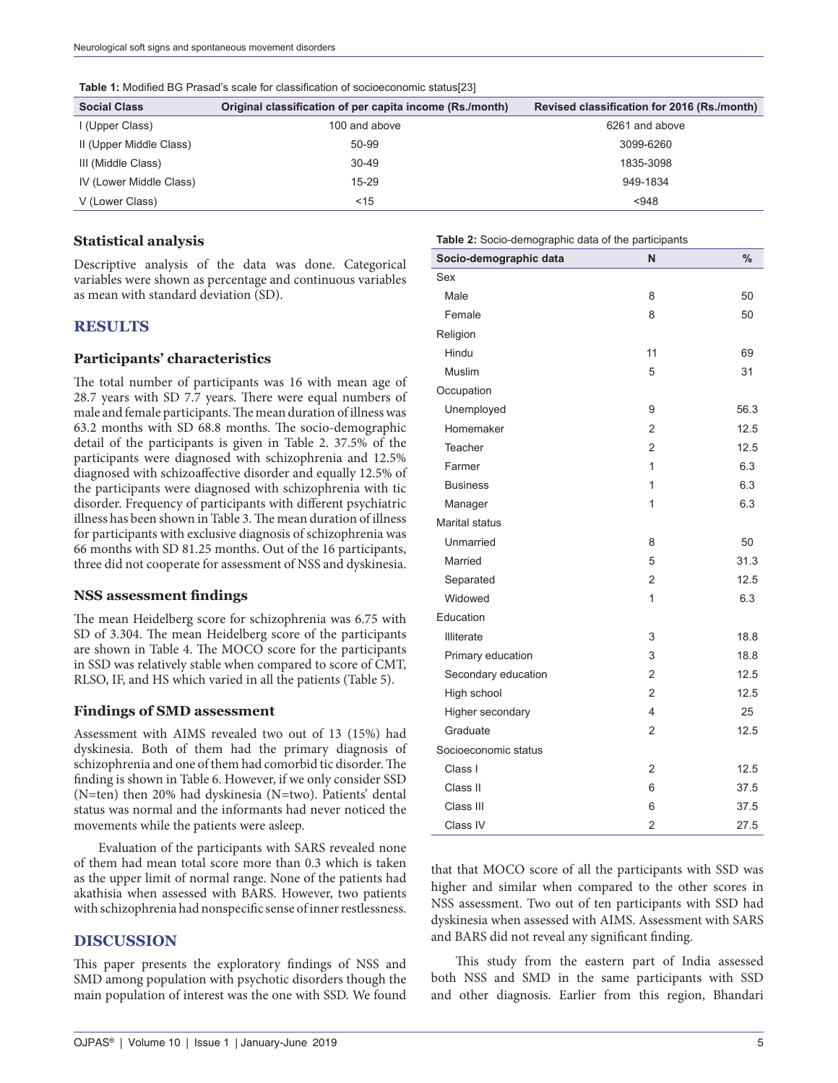| <b>Social Class</b>     | Original classification of per capita income (Rs./month) | Revised classification for 2016 (Rs./month) |
|-------------------------|----------------------------------------------------------|---------------------------------------------|
| I (Upper Class)         | 100 and above                                            | 6261 and above                              |
| II (Upper Middle Class) | 50-99                                                    | 3099-6260                                   |
| III (Middle Class)      | $30 - 49$                                                | 1835-3098                                   |
| IV (Lower Middle Class) | 15-29                                                    | 949-1834                                    |
| V (Lower Class)         | $<$ 15                                                   | < 948                                       |

**Table 1:** Modified BG Prasad's scale for classification of socioeconomic status[23]

## **Statistical analysis**

Descriptive analysis of the data was done. Categorical variables were shown as percentage and continuous variables as mean with standard deviation (SD).

### **RESULTS**

#### **Participants' characteristics**

The total number of participants was 16 with mean age of 28.7 years with SD 7.7 years. There were equal numbers of male and female participants. The mean duration of illness was 63.2 months with SD 68.8 months. The socio-demographic detail of the participants is given in Table 2. 37.5% of the participants were diagnosed with schizophrenia and 12.5% diagnosed with schizoaffective disorder and equally 12.5% of the participants were diagnosed with schizophrenia with tic disorder. Frequency of participants with different psychiatric illness has been shown in Table 3. The mean duration of illness for participants with exclusive diagnosis of schizophrenia was 66 months with SD 81.25 months. Out of the 16 participants, three did not cooperate for assessment of NSS and dyskinesia.

#### **NSS assessment findings**

The mean Heidelberg score for schizophrenia was 6.75 with SD of 3.304. The mean Heidelberg score of the participants are shown in Table 4. The MOCO score for the participants in SSD was relatively stable when compared to score of CMT, RLSO, IF, and HS which varied in all the patients (Table 5).

#### **Findings of SMD assessment**

Assessment with AIMS revealed two out of 13 (15%) had dyskinesia. Both of them had the primary diagnosis of schizophrenia and one of them had comorbid tic disorder. The finding is shown in Table 6. However, if we only consider SSD (N=ten) then 20% had dyskinesia (N=two). Patients' dental status was normal and the informants had never noticed the movements while the patients were asleep.

Evaluation of the participants with SARS revealed none of them had mean total score more than 0.3 which is taken as the upper limit of normal range. None of the patients had akathisia when assessed with BARS. However, two patients with schizophrenia had nonspecific sense of inner restlessness.

#### **DISCUSSION**

This paper presents the exploratory findings of NSS and SMD among population with psychotic disorders though the main population of interest was the one with SSD. We found

| <b>Table 2:</b> Socio-demographic data of the participants |                |               |  |  |  |
|------------------------------------------------------------|----------------|---------------|--|--|--|
| Socio-demographic data                                     | N              | $\frac{0}{0}$ |  |  |  |
| Sex                                                        |                |               |  |  |  |
| Male                                                       | 8              | 50            |  |  |  |
| Female                                                     | 8              | 50            |  |  |  |
| Religion                                                   |                |               |  |  |  |
| Hindu                                                      | 11             | 69            |  |  |  |
| Muslim                                                     | 5              | 31            |  |  |  |
| Occupation                                                 |                |               |  |  |  |
| Unemployed                                                 | 9              | 56.3          |  |  |  |
| Homemaker                                                  | $\overline{2}$ | 12.5          |  |  |  |
| Teacher                                                    | 2              | 12.5          |  |  |  |
| Farmer                                                     | 1              | 6.3           |  |  |  |
| <b>Business</b>                                            | 1              | 6.3           |  |  |  |
| Manager                                                    | 1              | 6.3           |  |  |  |
| Marital status                                             |                |               |  |  |  |
| Unmarried                                                  | 8              | 50            |  |  |  |
| Married                                                    | 5              | 31.3          |  |  |  |
| Separated                                                  | $\overline{2}$ | 12.5          |  |  |  |
| Widowed                                                    | 1              | 6.3           |  |  |  |
| Education                                                  |                |               |  |  |  |
| <b>Illiterate</b>                                          | 3              | 18.8          |  |  |  |
| Primary education                                          | 3              | 18.8          |  |  |  |
| Secondary education                                        | 2              | 12.5          |  |  |  |
| High school                                                | $\overline{2}$ | 12.5          |  |  |  |
| Higher secondary                                           | 4              | 25            |  |  |  |
| Graduate                                                   | $\overline{2}$ | 12.5          |  |  |  |
| Socioeconomic status                                       |                |               |  |  |  |
| Class I                                                    | 2              | 12.5          |  |  |  |
| Class II                                                   | 6              | 37.5          |  |  |  |
| Class III                                                  | 6              | 37.5          |  |  |  |
| Class IV                                                   | 2              | 27.5          |  |  |  |

that that MOCO score of all the participants with SSD was higher and similar when compared to the other scores in NSS assessment. Two out of ten participants with SSD had dyskinesia when assessed with AIMS. Assessment with SARS and BARS did not reveal any significant finding.

This study from the eastern part of India assessed both NSS and SMD in the same participants with SSD and other diagnosis. Earlier from this region, Bhandari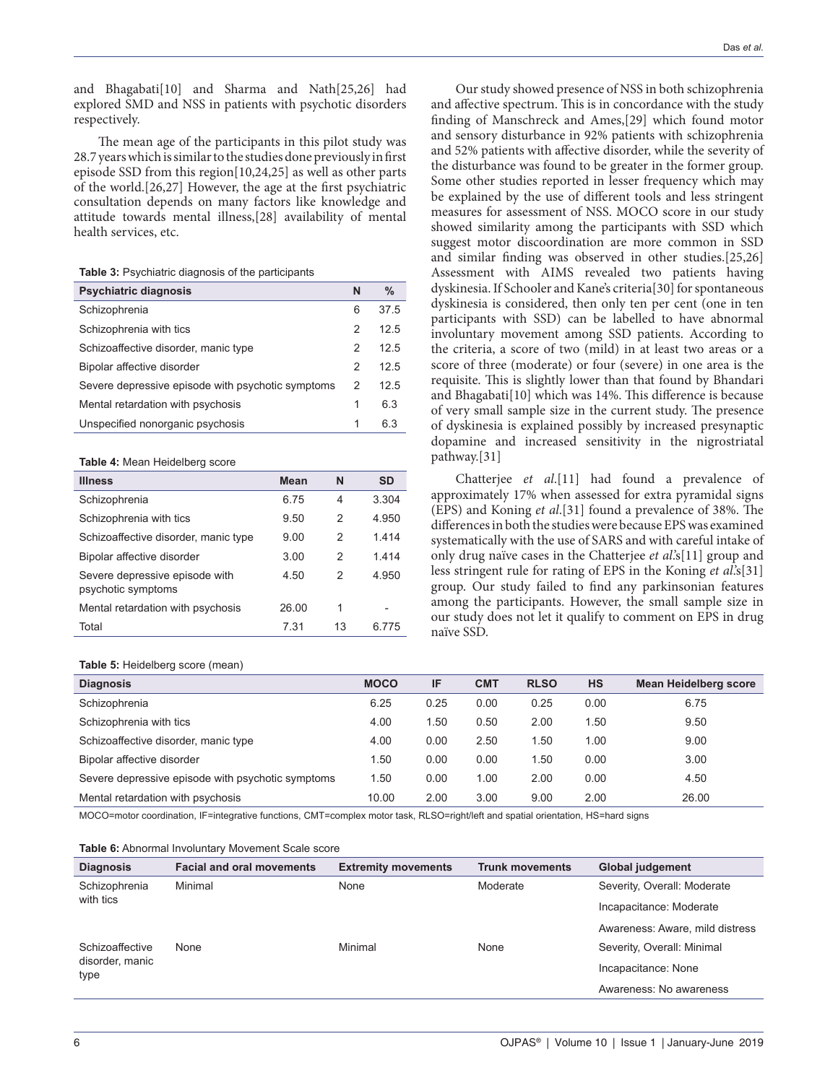and Bhagabati[10] and Sharma and Nath[25,26] had explored SMD and NSS in patients with psychotic disorders respectively.

The mean age of the participants in this pilot study was 28.7 years which is similar to the studies done previously in first episode SSD from this region[10,24,25] as well as other parts of the world.[26,27] However, the age at the first psychiatric consultation depends on many factors like knowledge and attitude towards mental illness,[28] availability of mental health services, etc.

**Table 3:** Psychiatric diagnosis of the participants

| <b>Psychiatric diagnosis</b>                      | N | $\%$ |
|---------------------------------------------------|---|------|
| Schizophrenia                                     | 6 | 37.5 |
| Schizophrenia with tics                           | 2 | 12.5 |
| Schizoaffective disorder, manic type              | 2 | 12.5 |
| Bipolar affective disorder                        | 2 | 125  |
| Severe depressive episode with psychotic symptoms | 2 | 12.5 |
| Mental retardation with psychosis                 | 1 | 6.3  |
| Unspecified nonorganic psychosis                  | 1 | 6.3  |

#### **Table 4:** Mean Heidelberg score

| <b>Illness</b>                                       | Mean  | N  | <b>SD</b> |
|------------------------------------------------------|-------|----|-----------|
| Schizophrenia                                        | 6.75  | 4  | 3.304     |
| Schizophrenia with tics                              | 9.50  | 2  | 4.950     |
| Schizoaffective disorder, manic type                 | 9.00  | 2  | 1414      |
| Bipolar affective disorder                           | 3.00  | 2  | 1414      |
| Severe depressive episode with<br>psychotic symptoms | 4.50  | 2  | 4.950     |
| Mental retardation with psychosis                    | 26.00 | 1  |           |
| Total                                                | 7 31  | 13 | 6 775     |

#### **Table 5:** Heidelberg score (mean)

Our study showed presence of NSS in both schizophrenia and affective spectrum. This is in concordance with the study finding of Manschreck and Ames,[29] which found motor and sensory disturbance in 92% patients with schizophrenia and 52% patients with affective disorder, while the severity of the disturbance was found to be greater in the former group. Some other studies reported in lesser frequency which may be explained by the use of different tools and less stringent measures for assessment of NSS. MOCO score in our study showed similarity among the participants with SSD which suggest motor discoordination are more common in SSD and similar finding was observed in other studies.[25,26] Assessment with AIMS revealed two patients having dyskinesia. If Schooler and Kane's criteria[30] for spontaneous dyskinesia is considered, then only ten per cent (one in ten participants with SSD) can be labelled to have abnormal involuntary movement among SSD patients. According to the criteria, a score of two (mild) in at least two areas or a score of three (moderate) or four (severe) in one area is the requisite. This is slightly lower than that found by Bhandari and Bhagabati[10] which was 14%. This difference is because of very small sample size in the current study. The presence of dyskinesia is explained possibly by increased presynaptic dopamine and increased sensitivity in the nigrostriatal pathway.[31]

Chatterjee *et al*.[11] had found a prevalence of approximately 17% when assessed for extra pyramidal signs (EPS) and Koning *et al*.[31] found a prevalence of 38%. The differences in both the studies were because EPS was examined systematically with the use of SARS and with careful intake of only drug naïve cases in the Chatterjee *et al*.'s[11] group and less stringent rule for rating of EPS in the Koning *et al*.'s[31] group. Our study failed to find any parkinsonian features among the participants. However, the small sample size in our study does not let it qualify to comment on EPS in drug naïve SSD.

| <b>MOCO</b> | IF   | <b>CMT</b> | <b>RLSO</b> | <b>HS</b> | <b>Mean Heidelberg score</b> |
|-------------|------|------------|-------------|-----------|------------------------------|
| 6.25        | 0.25 | 0.00       | 0.25        | 0.00      | 6.75                         |
| 4.00        | .50  | 0.50       | 2.00        | 1.50      | 9.50                         |
| 4.00        | 0.00 | 2.50       | 1.50        | 1.00      | 9.00                         |
| 1.50        | 0.00 | 0.00       | 1.50        | 0.00      | 3.00                         |
| 1.50        | 0.00 | 1.00       | 2.00        | 0.00      | 4.50                         |
| 10.00       | 2.00 | 3.00       | 9.00        | 2.00      | 26.00                        |
|             |      |            |             |           |                              |

MOCO=motor coordination, IF=integrative functions, CMT=complex motor task, RLSO=right/left and spatial orientation, HS=hard signs

#### **Table 6:** Abnormal Involuntary Movement Scale score

| <b>Diagnosis</b>                           | <b>Facial and oral movements</b> | <b>Extremity movements</b> | <b>Trunk movements</b> | <b>Global judgement</b>         |
|--------------------------------------------|----------------------------------|----------------------------|------------------------|---------------------------------|
| Schizophrenia<br>with tics                 | Minimal                          | None                       | Moderate               | Severity, Overall: Moderate     |
|                                            |                                  |                            |                        | Incapacitance: Moderate         |
|                                            |                                  |                            |                        | Awareness: Aware, mild distress |
| Schizoaffective<br>disorder, manic<br>type | None                             | Minimal                    | None                   | Severity, Overall: Minimal      |
|                                            |                                  |                            |                        | Incapacitance: None             |
|                                            |                                  |                            |                        | Awareness: No awareness         |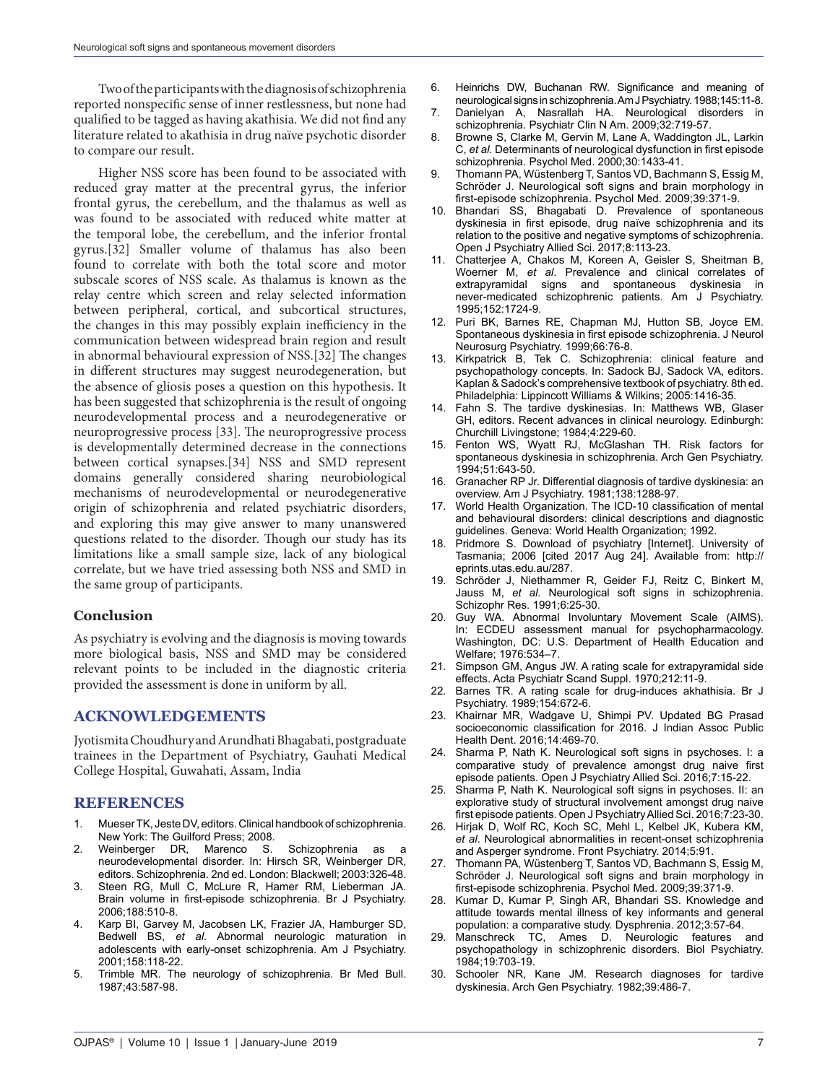Two of the participants with the diagnosis of schizophrenia reported nonspecific sense of inner restlessness, but none had qualified to be tagged as having akathisia. We did not find any literature related to akathisia in drug naïve psychotic disorder to compare our result.

Higher NSS score has been found to be associated with reduced gray matter at the precentral gyrus, the inferior frontal gyrus, the cerebellum, and the thalamus as well as was found to be associated with reduced white matter at the temporal lobe, the cerebellum, and the inferior frontal gyrus.[32] Smaller volume of thalamus has also been found to correlate with both the total score and motor subscale scores of NSS scale. As thalamus is known as the relay centre which screen and relay selected information between peripheral, cortical, and subcortical structures, the changes in this may possibly explain inefficiency in the communication between widespread brain region and result in abnormal behavioural expression of NSS.[32] The changes in different structures may suggest neurodegeneration, but the absence of gliosis poses a question on this hypothesis. It has been suggested that schizophrenia is the result of ongoing neurodevelopmental process and a neurodegenerative or neuroprogressive process [33]. The neuroprogressive process is developmentally determined decrease in the connections between cortical synapses.[34] NSS and SMD represent domains generally considered sharing neurobiological mechanisms of neurodevelopmental or neurodegenerative origin of schizophrenia and related psychiatric disorders, and exploring this may give answer to many unanswered questions related to the disorder. Though our study has its limitations like a small sample size, lack of any biological correlate, but we have tried assessing both NSS and SMD in the same group of participants.

# **Conclusion**

As psychiatry is evolving and the diagnosis is moving towards more biological basis, NSS and SMD may be considered relevant points to be included in the diagnostic criteria provided the assessment is done in uniform by all.

# **ACKNOWLEDGEMENTS**

Jyotismita Choudhury and Arundhati Bhagabati, postgraduate trainees in the Department of Psychiatry, Gauhati Medical College Hospital, Guwahati, Assam, India

# **REFERENCES**

- 1. Mueser TK, Jeste DV, editors. Clinical handbook of schizophrenia. New York: The Guilford Press; 2008.
- 2. Weinberger DR, Marenco S. Schizophrenia as a neurodevelopmental disorder. In: Hirsch SR, Weinberger DR, editors. Schizophrenia. 2nd ed. London: Blackwell; 2003:326-48.
- Steen RG, Mull C, McLure R, Hamer RM, Lieberman JA. Brain volume in first-episode schizophrenia. Br J Psychiatry. 2006;188:510-8.
- Karp BI, Garvey M, Jacobsen LK, Frazier JA, Hamburger SD, Bedwell BS, *et al*. Abnormal neurologic maturation in adolescents with early-onset schizophrenia. Am J Psychiatry. 2001;158:118-22.
- 5. Trimble MR. The neurology of schizophrenia. Br Med Bull. 1987;43:587-98.
- 6. Heinrichs DW, Buchanan RW. Significance and meaning of neurological signs in schizophrenia. Am J Psychiatry. 1988;145:11-8.
- 7. Danielyan A, Nasrallah HA. Neurological disorders in schizophrenia. Psychiatr Clin N Am. 2009;32:719-57.
- 8. Browne S, Clarke M, Gervin M, Lane A, Waddington JL, Larkin C, *et al*. Determinants of neurological dysfunction in first episode schizophrenia. Psychol Med. 2000;30:1433-41.
- 9. Thomann PA, Wüstenberg T, Santos VD, Bachmann S, Essig M, Schröder J. Neurological soft signs and brain morphology in first-episode schizophrenia. Psychol Med. 2009;39:371-9.
- 10. Bhandari SS, Bhagabati D. Prevalence of spontaneous dyskinesia in first episode, drug naïve schizophrenia and its relation to the positive and negative symptoms of schizophrenia. Open J Psychiatry Allied Sci. 2017;8:113-23.
- 11. Chatterjee A, Chakos M, Koreen A, Geisler S, Sheitman B, Woerner M, *et al*. Prevalence and clinical correlates of extrapyramidal signs and spontaneous dyskinesia in never-medicated schizophrenic patients. Am J Psychiatry. 1995;152:1724-9.
- 12. Puri BK, Barnes RE, Chapman MJ, Hutton SB, Joyce EM. Spontaneous dyskinesia in first episode schizophrenia. J Neurol Neurosurg Psychiatry. 1999;66:76-8.
- 13. Kirkpatrick B, Tek C. Schizophrenia: clinical feature and psychopathology concepts. In: Sadock BJ, Sadock VA, editors. Kaplan & Sadock's comprehensive textbook of psychiatry. 8th ed. Philadelphia: Lippincott Williams & Wilkins; 2005:1416-35.
- 14. Fahn S. The tardive dyskinesias. In: Matthews WB, Glaser GH, editors. Recent advances in clinical neurology. Edinburgh: Churchill Livingstone; 1984;4:229-60.
- 15. Fenton WS, Wyatt RJ, McGlashan TH. Risk factors for spontaneous dyskinesia in schizophrenia. Arch Gen Psychiatry. 1994;51:643-50.
- 16. Granacher RP Jr. Differential diagnosis of tardive dyskinesia: an overview. Am J Psychiatry. 1981;138:1288-97.
- 17. World Health Organization. The ICD-10 classification of mental and behavioural disorders: clinical descriptions and diagnostic guidelines. Geneva: World Health Organization; 1992.
- 18. Pridmore S. Download of psychiatry [Internet]. University of Tasmania; 2006 [cited 2017 Aug 24]. Available from: http:// eprints.utas.edu.au/287.
- 19. Schröder J, Niethammer R, Geider FJ, Reitz C, Binkert M, Jauss M, *et al*. Neurological soft signs in schizophrenia. Schizophr Res. 1991;6:25-30.
- 20. Guy WA. Abnormal Involuntary Movement Scale (AIMS). In: ECDEU assessment manual for psychopharmacology. Washington, DC: U.S. Department of Health Education and Welfare; 1976:534–7.
- 21. Simpson GM, Angus JW. A rating scale for extrapyramidal side effects. Acta Psychiatr Scand Suppl. 1970;212:11-9.
- 22. Barnes TR. A rating scale for drug-induces akhathisia. Br J Psychiatry. 1989;154:672-6.
- 23. Khairnar MR, Wadgave U, Shimpi PV. Updated BG Prasad socioeconomic classification for 2016. J Indian Assoc Public Health Dent. 2016;14:469-70.
- 24. Sharma P, Nath K. Neurological soft signs in psychoses. I: a comparative study of prevalence amongst drug naive first episode patients. Open J Psychiatry Allied Sci. 2016;7:15-22.
- 25. Sharma P, Nath K. Neurological soft signs in psychoses. II: an explorative study of structural involvement amongst drug naive first episode patients. Open J Psychiatry Allied Sci. 2016;7:23-30.
- 26. Hirjak D, Wolf RC, Koch SC, Mehl L, Kelbel JK, Kubera KM, *et al*. Neurological abnormalities in recent-onset schizophrenia and Asperger syndrome. Front Psychiatry. 2014;5:91.
- 27. Thomann PA, Wüstenberg T, Santos VD, Bachmann S, Essig M, Schröder J. Neurological soft signs and brain morphology in first-episode schizophrenia. Psychol Med. 2009;39:371-9.
- 28. Kumar D, Kumar P, Singh AR, Bhandari SS. Knowledge and attitude towards mental illness of key informants and general population: a comparative study. Dysphrenia. 2012;3:57-64.
- 29. Manschreck TC, Ames D. Neurologic features and psychopathology in schizophrenic disorders. Biol Psychiatry. 1984;19:703-19.
- 30. Schooler NR, Kane JM. Research diagnoses for tardive dyskinesia. Arch Gen Psychiatry. 1982;39:486-7.